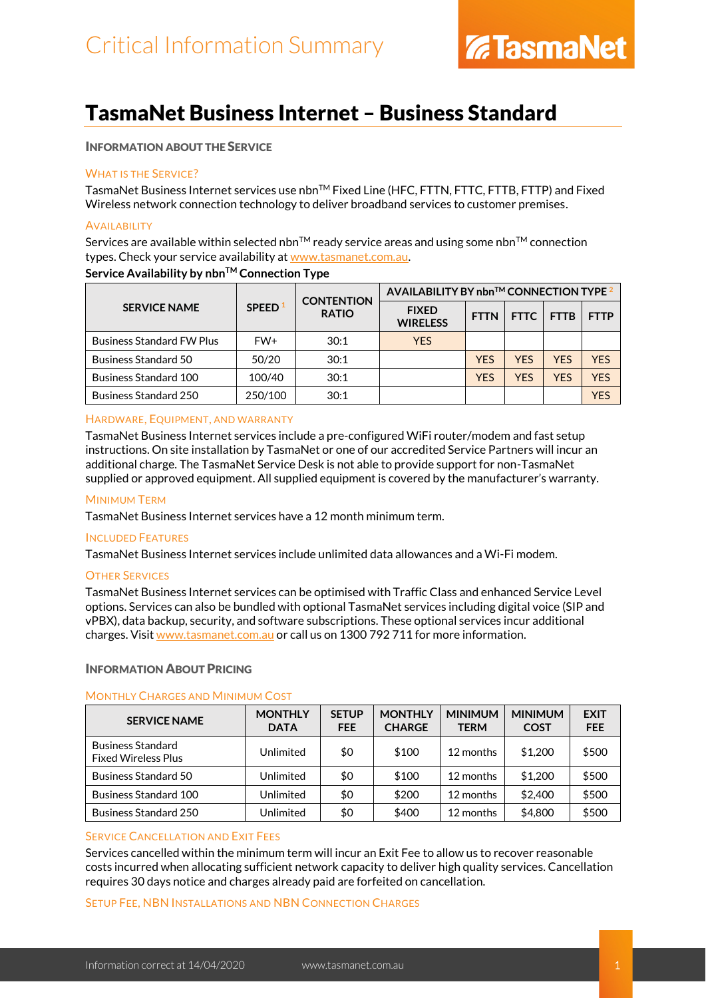### TasmaNet Business Internet – Business Standard

#### INFORMATION ABOUT THE SERVICE

#### WHAT IS THE SERVICE?

TasmaNet Business Internet services use nbn™ Fixed Line (HFC, FTTN, FTTC, FTTB, FTTP) and Fixed Wireless network connection technology to deliver broadband services to customer premises.

#### **AVAILABILITY**

Services are available within selected nbn<sup>TM</sup> ready service areas and using some nbn<sup>TM</sup> connection types. Check your service availability at [www.tasmanet.com.au.](https://www.tasmanet.com.au/)

#### **Service Availability by nbnTM Connection Type**

| <b>SERVICE NAME</b>              | SPEED <sup>1</sup> | <b>CONTENTION</b><br><b>RATIO</b> | AVAILABILITY BY nbn™ CONNECTION TYPE 2 |             |             |             |             |
|----------------------------------|--------------------|-----------------------------------|----------------------------------------|-------------|-------------|-------------|-------------|
|                                  |                    |                                   | <b>FIXED</b><br><b>WIRELESS</b>        | <b>FTTN</b> | <b>FTTC</b> | <b>FTTB</b> | <b>FTTP</b> |
| <b>Business Standard FW Plus</b> | FW+                | 30:1                              | <b>YES</b>                             |             |             |             |             |
| <b>Business Standard 50</b>      | 50/20              | 30:1                              |                                        | <b>YES</b>  | <b>YFS</b>  | <b>YFS</b>  | <b>YFS</b>  |
| <b>Business Standard 100</b>     | 100/40             | 30:1                              |                                        | <b>YES</b>  | <b>YES</b>  | <b>YFS</b>  | <b>YFS</b>  |
| <b>Business Standard 250</b>     | 250/100            | 30:1                              |                                        |             |             |             | YES         |

#### HARDWARE, EQUIPMENT, AND WARRANTY

TasmaNet Business Internet services include a pre-configured WiFi router/modem and fast setup instructions. On site installation by TasmaNet or one of our accredited Service Partners will incur an additional charge. The TasmaNet Service Desk is not able to provide support for non-TasmaNet supplied or approved equipment. All supplied equipment is covered by the manufacturer's warranty.

#### MINIMUM TERM

TasmaNet Business Internet services have a 12 month minimum term.

#### INCLUDED FEATURES

TasmaNet Business Internet services include unlimited data allowances and a Wi-Fi modem.

#### **OTHER SERVICES**

TasmaNet Business Internet services can be optimised with Traffic Class and enhanced Service Level options. Services can also be bundled with optional TasmaNet services including digital voice (SIP and vPBX), data backup, security, and software subscriptions. These optional services incur additional charges. Visit [www.tasmanet.com.au](http://www.tasmanet.com.au/) or call us on 1300 792 711 for more information.

#### INFORMATION ABOUT PRICING

#### MONTHLY CHARGES AND MINIMUM COST

| <b>SERVICE NAME</b>                                    | <b>MONTHLY</b><br><b>DATA</b> | <b>SETUP</b><br><b>FEE</b> | <b>MONTHLY</b><br><b>CHARGE</b> | <b>MINIMUM</b><br><b>TERM</b> | <b>MINIMUM</b><br><b>COST</b> | <b>EXIT</b><br><b>FEE</b> |
|--------------------------------------------------------|-------------------------------|----------------------------|---------------------------------|-------------------------------|-------------------------------|---------------------------|
| <b>Business Standard</b><br><b>Fixed Wireless Plus</b> | Unlimited                     | \$0                        | \$100                           | 12 months                     | \$1,200                       | \$500                     |
| Business Standard 50                                   | Unlimited                     | \$0                        | \$100                           | 12 months                     | \$1,200                       | \$500                     |
| <b>Business Standard 100</b>                           | Unlimited                     | \$0                        | \$200                           | 12 months                     | \$2,400                       | \$500                     |
| Business Standard 250                                  | Unlimited                     | \$0                        | \$400                           | 12 months                     | \$4,800                       | \$500                     |

#### SERVICE CANCELLATION AND EXIT FEES

Services cancelled within the minimum term will incur an Exit Fee to allow us to recover reasonable costs incurred when allocating sufficient network capacity to deliver high quality services. Cancellation requires 30 days notice and charges already paid are forfeited on cancellation.

#### SETUP FEE, NBN INSTALLATIONS AND NBN CONNECTION CHARGES